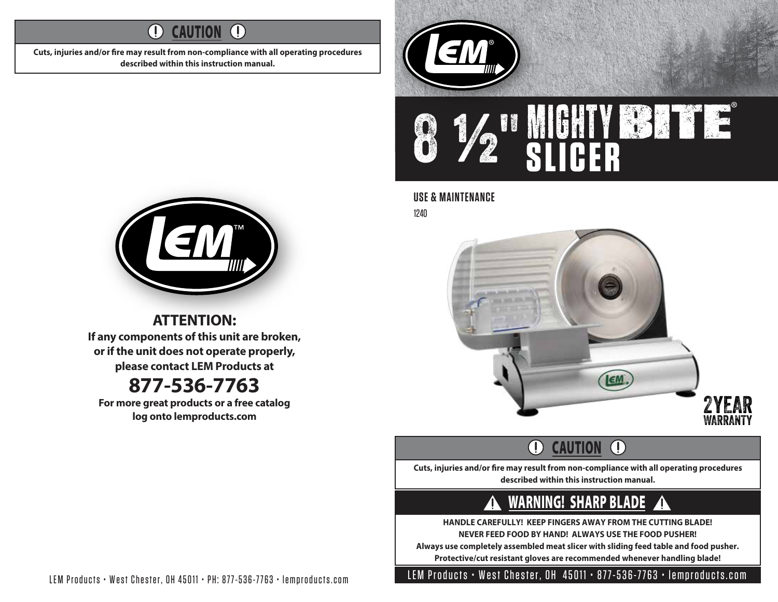#### $\left( \mathrm{I}\right)$ **CAUTION**  $\left( \left| {}\right\rangle \right)$

Cuts, injuries and/or fire may result from non-compliance with all operating procedures **described within this instruction manual.**





### **USE & MAINTENANCE**

1240



#### $\bigcap$ **CAUTION**  $\bigcirc$

Cuts, injuries and/or fire may result from non-compliance with all operating procedures **described within this instruction manual.**

#### WARNING! SHARP BLADE 41 ZIN

**HANDLE CAREFULLY! KEEP FINGERS AWAY FROM THE CUTTING BLADE! NEVER FEED FOOD BY HAND! ALWAYS USE THE FOOD PUSHER!**

**Always use completely assembled meat slicer with sliding feed table and food pusher. Protective/cut resistant gloves are recommended whenever handling blade!**



**ATTENTION: If any components of this unit are broken, or if the unit does not operate properly, please contact LEM Products at**

## **877-536-7763**

**For more great products or a free catalog log onto lemproducts.com**

LEM Products • West Chester, OH 45011 • PH: 877-536-7763 • lemproducts.com

LEM Products • West Chester, OH 45011 • 877-536-7763 • lemproducts.com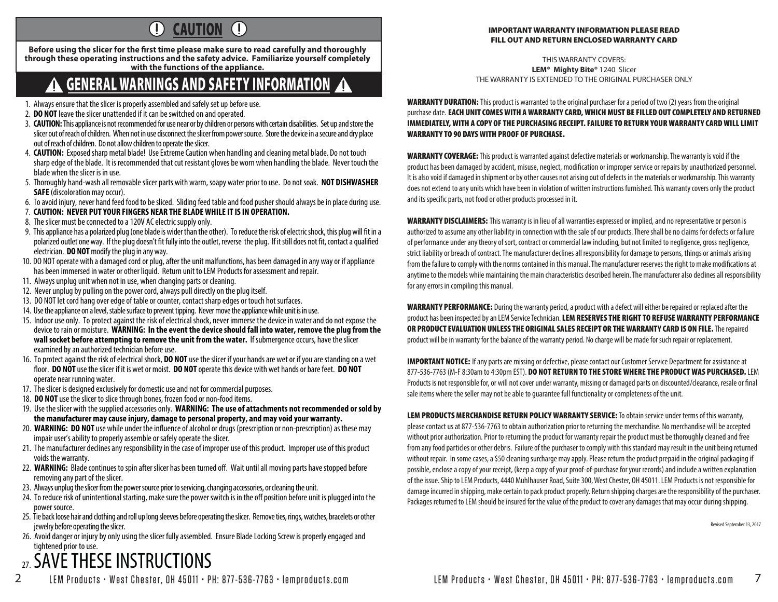#### $\bigcirc$ **CAUTION**  $\left( \mathbf{l}\right)$

Before using the slicer for the first time please make sure to read carefully and thoroughly **through these operating instructions and the safety advice. Familiarize yourself completely with the functions of the appliance.**

## GENERAL WARNINGS AND SAFETY INFORMATION

- 1. Always ensure that the slicer is properly assembled and safely set up before use.
- 2. **DO NOT** leave the slicer unattended if it can be switched on and operated.
- 3. **CAUTION:** This appliance is not recommended for use near or by children or persons with certain disabilities. Set up and store the slicer out of reach of children. When not in use disconnect the slicer from power source. Store the device in a secure and dry place out of reach of children. Do not allow children to operate the slicer.
- 4. **CAUTION:** Exposed sharp metal blade! Use Extreme Caution when handling and cleaning metal blade. Do not touch sharp edge of the blade. It is recommended that cut resistant gloves be worn when handling the blade. Never touch the blade when the slicer is in use.
- 5. Thoroughly hand-wash all removable slicer parts with warm, soapy water prior to use. Do not soak. **NOT DISHWASHER SAFE** (discoloration may occur).
- 6. To avoid injury, never hand feed food to be sliced. Sliding feed table and food pusher should always be in place during use.
- 7. **CAUTION: NEVER PUT YOUR FINGERS NEAR THE BLADE WHILE IT IS IN OPERATION.**
- 8. The slicer must be connected to a 120V AC electric supply only.
- 9. This appliance has a polarized plug (one blade is wider than the other). To reduce the risk of electric shock, this plug will fit in a polarized outlet one way. If the plug doesn't fit fully into the outlet, reverse the plug. If it still does not fit, contact a qualified electrician. **DO NOT** modify the plug in any way.
- 10. DO NOT operate with a damaged cord or plug, after the unit malfunctions, has been damaged in any way or if appliance has been immersed in water or other liquid. Return unit to LEM Products for assessment and repair.
- 11. Always unplug unit when not in use, when changing parts or cleaning.
- 12. Never unplug by pulling on the power cord, always pull directly on the plug itself.
- 13. DO NOT let cord hang over edge of table or counter, contact sharp edges or touch hot surfaces.
- 14. Use the appliance on a level, stable surface to prevent tipping. Never move the appliance while unit is in use.
- 15. Indoor use only. To protect against the risk of electrical shock, never immerse the device in water and do not expose the device to rain or moisture. **WARNING: In the event the device should fall into water, remove the plug from the wall socket before attempting to remove the unit from the water.** If submergence occurs, have the slicer examined by an authorized technician before use.
- 16. To protect against the risk of electrical shock, **DO NOT** use the slicer if your hands are wet or if you are standing on a wet oor. **DO NOT** use the slicer if it is wet or moist. **DO NOT** operate this device with wet hands or bare feet. **DO NOT** operate near running water.
- 17. The slicer is designed exclusively for domestic use and not for commercial purposes.
- 18. **DO NOT** use the slicer to slice through bones, frozen food or non-food items.
- 19. Use the slicer with the supplied accessories only. **WARNING: The use of attachments not recommended or sold by the manufacturer may cause injury, damage to personal property, and may void your warranty.**
- 20. **WARNING: DO NOT** use while under the influence of alcohol or drugs (prescription or non-prescription) as these may impair user's ability to properly assemble or safely operate the slicer.
- 21. The manufacturer declines any responsibility in the case of improper use of this product. Improper use of this product voids the warranty.
- 22. WARNING: Blade continues to spin after slicer has been turned off. Wait until all moving parts have stopped before removing any part of the slicer.
- 23. Always unplug the slicer from the power source prior to servicing, changing accessories, or cleaning the unit.
- 24. To reduce risk of unintentional starting, make sure the power switch is in the off position before unit is plugged into the power source.
- 25. Tie back loose hair and clothing and roll up long sleeves before operating the slicer. Remove ties, rings, watches, bracelets or other jewelry before operating the slicer.
- 26. Avoid danger or injury by only using the slicer fully assembled. Ensure Blade Locking Screw is properly engaged and tightened prior to use.

# <sub>27</sub> SAVE THESE INSTRUCTIONS

2 LEM Products • West Chester, OH 45011 • PH: 877-536-7763 • lemproducts.com LEM Products • West Chester, OH 45011 • PH: 877-536-7763 • lemproducts.com 7

#### IMPORTANT WARRANTY INFORMATION PLEASE READ FILL OUT AND RETURN ENCLOSED WARRANTY CARD

THIS WARRANTY COVERS: **LEM® Mighty Bite®** 1240 Slicer THE WARRANTY IS EXTENDED TO THE ORIGINAL PURCHASER ONLY

WARRANTY DURATION: This product is warranted to the original purchaser for a period of two (2) years from the original purchase date. EACH UNIT COMES WITH A WARRANTY CARD, WHICH MUST BE FILLED OUT COMPLETELY AND RETURNED IMMEDIATELY, WITH A COPY OF THE PURCHASING RECEIPT. FAILURE TO RETURN YOUR WARRANTY CARD WILL LIMIT WARRANTY TO 90 DAYS WITH PROOF OF PURCHASE.

WARRANTY COVERAGE: This product is warranted against defective materials or workmanship. The warranty is void if the product has been damaged by accident, misuse, neglect, modification or improper service or repairs by unauthorized personnel. It is also void if damaged in shipment or by other causes not arising out of defects in the materials or workmanship. This warranty does not extend to any units which have been in violation of written instructions furnished. This warranty covers only the product and its specific parts, not food or other products processed in it.

WARRANTY DISCLAIMERS: This warranty is in lieu of all warranties expressed or implied, and no representative or person is authorized to assume any other liability in connection with the sale of our products. There shall be no claims for defects or failure of performance under any theory of sort, contract or commercial law including, but not limited to negligence, gross negligence, strict liability or breach of contract. The manufacturer declines all responsibility for damage to persons, things or animals arising from the failure to comply with the norms contained in this manual. The manufacturer reserves the right to make modifications at anytime to the models while maintaining the main characteristics described herein. The manufacturer also declines all responsibility for any errors in compiling this manual.

WARRANTY PERFORMANCE: During the warranty period, a product with a defect will either be repaired or replaced after the product has been inspected by an LEM Service Technician. LEM RESERVES THE RIGHT TO REFUSE WARRANTY PERFORMANCE OR PRODUCT EVALUATION UNLESS THE ORIGINAL SALES RECEIPT OR THE WARRANTY CARD IS ON FILE. The repaired product will be in warranty for the balance of the warranty period. No charge will be made for such repair or replacement.

**IMPORTANT NOTICE:** If any parts are missing or defective, please contact our Customer Service Department for assistance at 877-536-7763 (M-F 8:30am to 4:30pm EST). DO NOT RETURN TO THE STORE WHERE THE PRODUCT WAS PURCHASED. LEM Products is not responsible for, or will not cover under warranty, missing or damaged parts on discounted/clearance, resale or final sale items where the seller may not be able to guarantee full functionality or completeness of the unit.

LEM PRODUCTS MERCHANDISE RETURN POLICY WARRANTY SERVICE: To obtain service under terms of this warranty, please contact us at 877-536-7763 to obtain authorization prior to returning the merchandise. No merchandise will be accepted without prior authorization. Prior to returning the product for warranty repair the product must be thoroughly cleaned and free from any food particles or other debris. Failure of the purchaser to comply with this standard may result in the unit being returned without repair. In some cases, a \$50 cleaning surcharge may apply. Please return the product prepaid in the original packaging if possible, enclose a copy of your receipt, (keep a copy of your proof-of-purchase for your records) and include a written explanation of the issue. Ship to LEM Products, 4440 Muhlhauser Road, Suite 300, West Chester, OH 45011. LEM Products is not responsible for damage incurred in shipping, make certain to pack product properly. Return shipping charges are the responsibility of the purchaser. Packages returned to LEM should be insured for the value of the product to cover any damages that may occur during shipping.

Revised September 13, 2017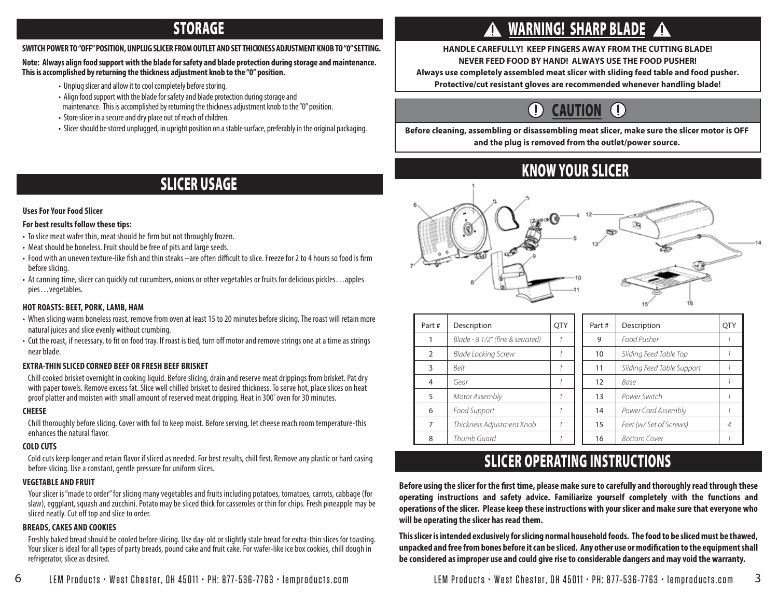### STORAGE

#### **SWITCH POWER TO "OFF" POSITION, UNPLUG SLICER FROM OUTLET AND SET THICKNESS ADJUSTMENT KNOB TO "0" SETTING.**

#### **Note: Always align food support with the blade for safety and blade protection during storage and maintenance. This is accomplished by returning the thickness adjustment knob to the "0" position.**

- Unplug slicer and allow it to cool completely before storing.
- Align food support with the blade for safety and blade protection during storage and maintenance. This is accomplished by returning the thickness adjustment knob to the "0" position.
- Store slicer in a secure and dry place out of reach of children.
- Slicer should be stored unplugged, in upright position on a stable surface, preferably in the original packaging.

### SLICER USAGE

### **Uses For Your Food Slicer**

#### **For best results follow these tips:**

- To slice meat wafer thin, meat should be firm but not throughly frozen.
- Meat should be boneless. Fruit should be free of pits and large seeds.
- Food with an uneven texture-like fish and thin steaks –are often difficult to slice. Freeze for 2 to 4 hours so food is firm before slicing.
- At canning time, slicer can quickly cut cucumbers, onions or other vegetables or fruits for delicious pickles…apples pies…vegetables.

#### **HOT ROASTS: BEET, PORK, LAMB, HAM**

- When slicing warm boneless roast, remove from oven at least 15 to 20 minutes before slicing. The roast will retain more natural juices and slice evenly without crumbing.
- Cut the roast, if necessary, to fit on food tray. If roast is tied, turn off motor and remove strings one at a time as strings near blade.

#### **EXTRA-THIN SLICED CORNED BEEF OR FRESH BEEF BRISKET**

Chill cooked brisket overnight in cooking liquid. Before slicing, drain and reserve meat drippings from brisket. Pat dry with paper towels. Remove excess fat. Slice well chilled brisket to desired thickness. To serve hot, place slices on heat proof platter and moisten with small amount of reserved meat dripping. Heat in 300˚oven for 30 minutes.

#### **CHEESE**

Chill thoroughly before slicing. Cover with foil to keep moist. Before serving, let cheese reach room temperature-this enhances the natural flavor.

#### **COLD CUTS**

Cold cuts keep longer and retain flavor if sliced as needed. For best results, chill first. Remove any plastic or hard casing before slicing. Use a constant, gentle pressure for uniform slices.

#### **VEGETABLE AND FRUIT**

Your slicer is "made to order" for slicing many vegetables and fruits including potatoes, tomatoes, carrots, cabbage (for slaw), eggplant, squash and zucchini. Potato may be sliced thick for casseroles or thin for chips. Fresh pineapple may be sliced neatly. Cut off top and slice to order.

#### **BREADS, CAKES AND COOKIES**

Freshly baked bread should be cooled before slicing. Use day-old or slightly stale bread for extra-thin slices for toasting. Your slicer is ideal for all types of party breads, pound cake and fruit cake. For wafer-like ice box cookies, chill dough in refrigerator, slice as desired.

## WARNING! SHARP BLADE

### **HANDLE CAREFULLY! KEEP FINGERS AWAY FROM THE CUTTING BLADE!**

**NEVER FEED FOOD BY HAND! ALWAYS USE THE FOOD PUSHER!**

**Always use completely assembled meat slicer with sliding feed table and food pusher.**

**Protective/cut resistant gloves are recommended whenever handling blade!**

#### $\left(\overline{\mathbb{D}}\right)$ CAUTION

**Before cleaning, assembling or disassembling meat slicer, make sure the slicer motor is OFF and the plug is removed from the outlet/power source.**

### KNOW YOUR SLICER



| Part# | Description                      | <b>OTY</b> | Part# | Description                | <b>OTY</b> |
|-------|----------------------------------|------------|-------|----------------------------|------------|
|       | Blade - 8 1/2" (fine & serrated) |            | 9     | Food Pusher                |            |
| 2     | Blade Locking Screw              |            | 10    | Sliding Feed Table Top     |            |
| 3     | <b>Belt</b>                      |            | 11    | Sliding Feed Table Support |            |
| 4     | Gear                             |            | 12    | Base                       |            |
| 5     | Motor Assembly                   |            | 13    | Power Switch               |            |
| 6     | Food Support                     |            | 14    | Power Cord Assembly        |            |
| 7     | Thickness Adjustment Knob        |            | 15    | Feet (w/ Set of Screws)    |            |
| 8     | Thumb Guard                      |            | 16    | <b>Bottom Cover</b>        |            |

### SLICER OPERATING INSTRUCTIONS

Before using the slicer for the first time, please make sure to carefully and thoroughly read through these **operating instructions and safety advice. Familiarize yourself completely with the functions and operations of the slicer. Please keep these instructions with your slicer and make sure that everyone who will be operating the slicer has read them.**

**This slicer is intended exclusively for slicing normal household foods. The food to be sliced must be thawed,**  unpacked and free from bones before it can be sliced. Any other use or modification to the equipment shall **be considered as improper use and could give rise to considerable dangers and may void the warranty.**